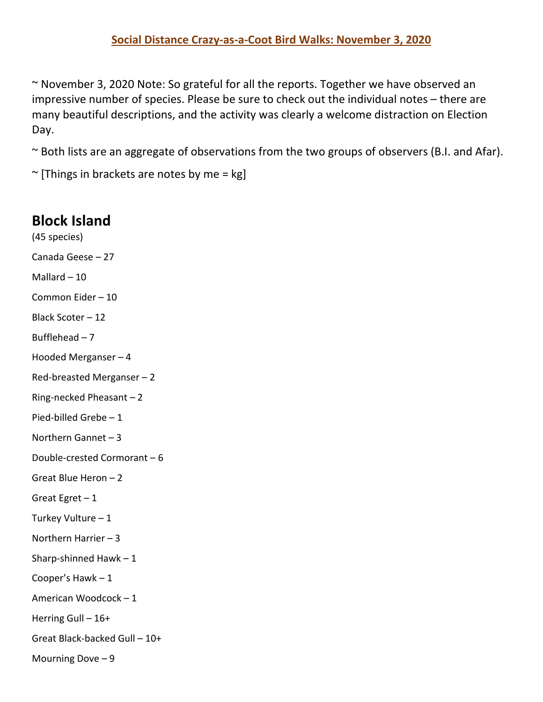~ November 3, 2020 Note: So grateful for all the reports. Together we have observed an impressive number of species. Please be sure to check out the individual notes – there are many beautiful descriptions, and the activity was clearly a welcome distraction on Election Day.

~ Both lists are an aggregate of observations from the two groups of observers (B.I. and Afar).

 $\sim$  [Things in brackets are notes by me = kg]

## **Block Island**

- (45 species) Canada Geese – 27 Mallard  $-10$ Common Eider – 10 Black Scoter – 12 Bufflehead  $-7$ Hooded Merganser – 4 Red-breasted Merganser – 2 Ring-necked Pheasant – 2 Pied-billed Grebe – 1 Northern Gannet – 3 Double-crested Cormorant – 6 Great Blue Heron – 2 Great Egret – 1 Turkey Vulture – 1 Northern Harrier – 3 Sharp-shinned Hawk – 1 Cooper's Hawk – 1 American Woodcock – 1 Herring Gull – 16+
- Great Black-backed Gull 10+

Mourning Dove – 9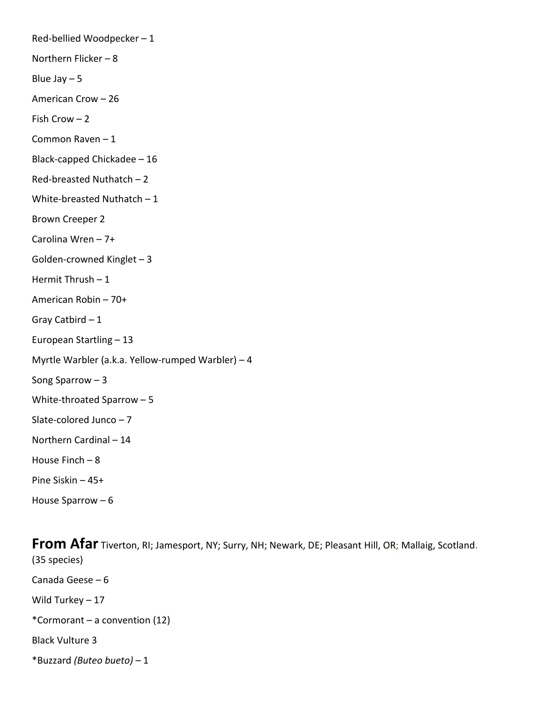Red-bellied Woodpecker – 1 Northern Flicker – 8 Blue Jay  $-5$ American Crow – 26 Fish Crow – 2 Common Raven – 1 Black-capped Chickadee – 16 Red-breasted Nuthatch – 2 White-breasted Nuthatch – 1 Brown Creeper 2 Carolina Wren – 7+ Golden-crowned Kinglet – 3 Hermit Thrush  $-1$ American Robin – 70+ Gray Catbird – 1 European Startling – 13 Myrtle Warbler (a.k.a. Yellow-rumped Warbler) – 4 Song Sparrow – 3 White-throated Sparrow – 5 Slate-colored Junco – 7 Northern Cardinal – 14 House Finch – 8 Pine Siskin – 45+ House Sparrow – 6

**From Afar** Tiverton, RI; Jamesport, NY; Surry, NH; Newark, DE; Pleasant Hill, OR; Mallaig, Scotland. (35 species) Canada Geese – 6 Wild Turkey – 17 \*Cormorant – a convention (12) Black Vulture 3 \*Buzzard *(Buteo bueto)* – 1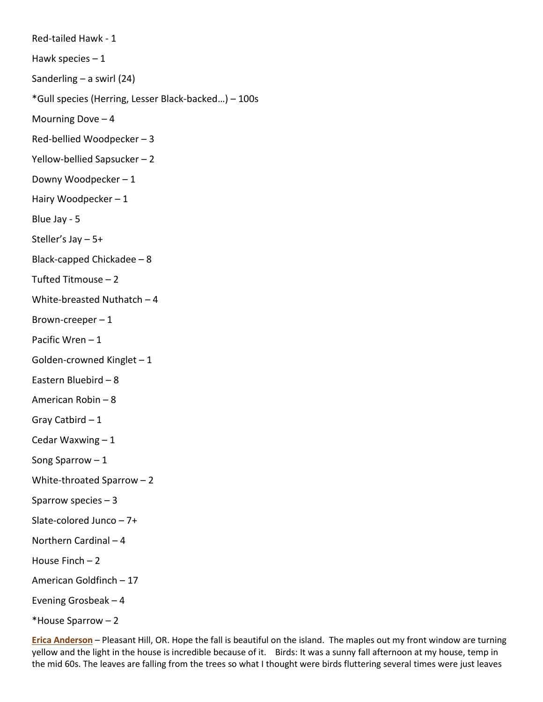Red-tailed Hawk - 1 Hawk species  $-1$ Sanderling – a swirl (24) \*Gull species (Herring, Lesser Black-backed…) – 100s Mourning Dove – 4 Red-bellied Woodpecker – 3 Yellow-bellied Sapsucker – 2 Downy Woodpecker – 1 Hairy Woodpecker – 1 Blue Jay - 5 Steller's Jay – 5+ Black-capped Chickadee – 8 Tufted Titmouse – 2 White-breasted Nuthatch – 4 Brown-creeper  $-1$ Pacific Wren – 1 Golden-crowned Kinglet – 1 Eastern Bluebird – 8 American Robin – 8 Gray Catbird – 1 Cedar Waxwing – 1 Song Sparrow – 1 White-throated Sparrow – 2 Sparrow species – 3 Slate-colored Junco – 7+ Northern Cardinal – 4 House Finch – 2 American Goldfinch – 17 Evening Grosbeak – 4 \*House Sparrow – 2

**Erica Anderson** – Pleasant Hill, OR. Hope the fall is beautiful on the island. The maples out my front window are turning yellow and the light in the house is incredible because of it. Birds: It was a sunny fall afternoon at my house, temp in the mid 60s. The leaves are falling from the trees so what I thought were birds fluttering several times were just leaves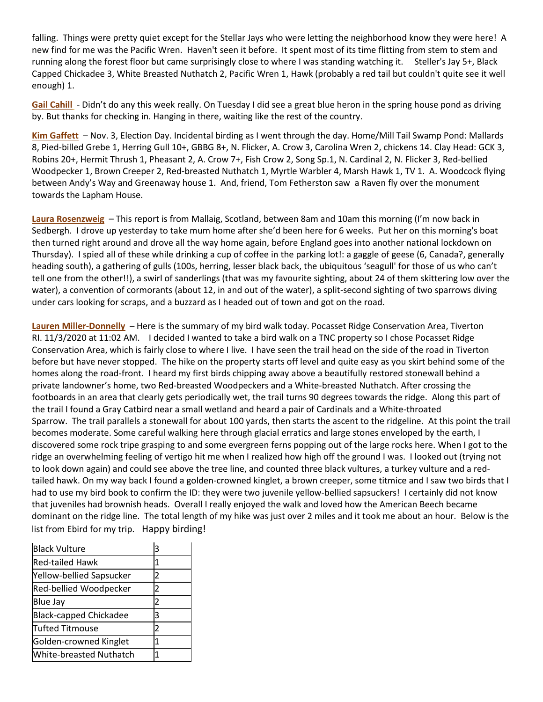falling. Things were pretty quiet except for the Stellar Jays who were letting the neighborhood know they were here! A new find for me was the Pacific Wren. Haven't seen it before. It spent most of its time flitting from stem to stem and running along the forest floor but came surprisingly close to where I was standing watching it. Steller's Jay 5+, Black Capped Chickadee 3, White Breasted Nuthatch 2, Pacific Wren 1, Hawk (probably a red tail but couldn't quite see it well enough) 1.

**Gail Cahill** - Didn't do any this week really. On Tuesday I did see a great blue heron in the spring house pond as driving by. But thanks for checking in. Hanging in there, waiting like the rest of the country.

**Kim Gaffett** – Nov. 3, Election Day. Incidental birding as I went through the day. Home/Mill Tail Swamp Pond: Mallards 8, Pied-billed Grebe 1, Herring Gull 10+, GBBG 8+, N. Flicker, A. Crow 3, Carolina Wren 2, chickens 14. Clay Head: GCK 3, Robins 20+, Hermit Thrush 1, Pheasant 2, A. Crow 7+, Fish Crow 2, Song Sp.1, N. Cardinal 2, N. Flicker 3, Red-bellied Woodpecker 1, Brown Creeper 2, Red-breasted Nuthatch 1, Myrtle Warbler 4, Marsh Hawk 1, TV 1. A. Woodcock flying between Andy's Way and Greenaway house 1. And, friend, Tom Fetherston saw a Raven fly over the monument towards the Lapham House.

**Laura Rosenzweig** – This report is from Mallaig, Scotland, between 8am and 10am this morning (I'm now back in Sedbergh. I drove up yesterday to take mum home after she'd been here for 6 weeks. Put her on this morning's boat then turned right around and drove all the way home again, before England goes into another national lockdown on Thursday). I spied all of these while drinking a cup of coffee in the parking lot!: a gaggle of geese (6, Canada?, generally heading south), a gathering of gulls (100s, herring, lesser black back, the ubiquitous 'seagull' for those of us who can't tell one from the other!!), a swirl of sanderlings (that was my favourite sighting, about 24 of them skittering low over the water), a convention of cormorants (about 12, in and out of the water), a split-second sighting of two sparrows diving under cars looking for scraps, and a buzzard as I headed out of town and got on the road.

**Lauren Miller-Donnelly** – Here is the summary of my bird walk today. Pocasset Ridge Conservation Area, Tiverton RI. 11/3/2020 at 11:02 AM. I decided I wanted to take a bird walk on a TNC property so I chose Pocasset Ridge Conservation Area, which is fairly close to where I live. I have seen the trail head on the side of the road in Tiverton before but have never stopped. The hike on the property starts off level and quite easy as you skirt behind some of the homes along the road-front. I heard my first birds chipping away above a beautifully restored stonewall behind a private landowner's home, two Red-breasted Woodpeckers and a White-breasted Nuthatch. After crossing the footboards in an area that clearly gets periodically wet, the trail turns 90 degrees towards the ridge. Along this part of the trail I found a Gray Catbird near a small wetland and heard a pair of Cardinals and a White-throated Sparrow. The trail parallels a stonewall for about 100 yards, then starts the ascent to the ridgeline. At this point the trail becomes moderate. Some careful walking here through glacial erratics and large stones enveloped by the earth, I discovered some rock tripe grasping to and some evergreen ferns popping out of the large rocks here. When I got to the ridge an overwhelming feeling of vertigo hit me when I realized how high off the ground I was. I looked out (trying not to look down again) and could see above the tree line, and counted three black vultures, a turkey vulture and a redtailed hawk. On my way back I found a golden-crowned kinglet, a brown creeper, some titmice and I saw two birds that I had to use my bird book to confirm the ID: they were two juvenile yellow-bellied sapsuckers! I certainly did not know that juveniles had brownish heads. Overall I really enjoyed the walk and loved how the American Beech became dominant on the ridge line. The total length of my hike was just over 2 miles and it took me about an hour. Below is the list from Ebird for my trip. Happy birding!

| <b>Black Vulture</b>           | 3 |
|--------------------------------|---|
| <b>Red-tailed Hawk</b>         | 1 |
| Yellow-bellied Sapsucker       | 2 |
| Red-bellied Woodpecker         | 2 |
| Blue Jay                       | 2 |
| <b>Black-capped Chickadee</b>  | 3 |
| <b>Tufted Titmouse</b>         | 2 |
| Golden-crowned Kinglet         | 1 |
| <b>White-breasted Nuthatch</b> |   |